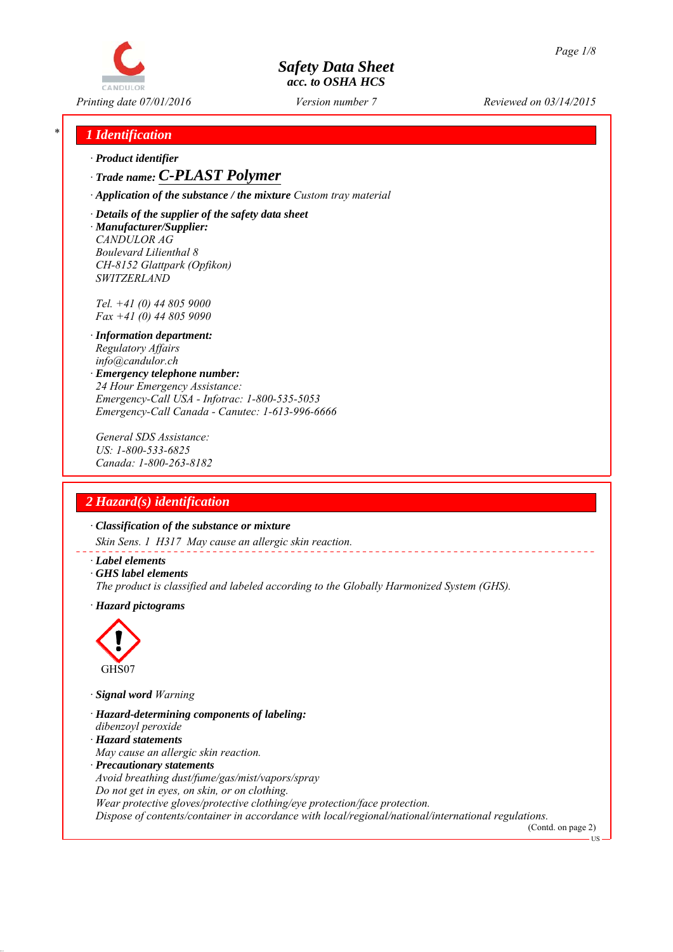

*Printing date 07/01/2016 Reviewed on 03/14/2015 Version number 7*

## *\* 1 Identification*

*∙ Product identifier*

## *∙ Trade name: C-PLAST Polymer*

*∙ Application of the substance / the mixture Custom tray material*

*∙ Details of the supplier of the safety data sheet ∙ Manufacturer/Supplier: CANDULOR AG Boulevard Lilienthal 8 CH-8152 Glattpark (Opfikon) SWITZERLAND*

*Tel. +41 (0) 44 805 9000 Fax +41 (0) 44 805 9090*

- *∙ Information department: Regulatory Affairs info@candulor.ch*
- *∙ Emergency telephone number: 24 Hour Emergency Assistance: Emergency-Call USA - Infotrac: 1-800-535-5053 Emergency-Call Canada - Canutec: 1-613-996-6666*

*General SDS Assistance: US: 1-800-533-6825 Canada: 1-800-263-8182*

## *2 Hazard(s) identification*

*∙ Classification of the substance or mixture*

*Skin Sens. 1 H317 May cause an allergic skin reaction.*

- *∙ Label elements*
- *∙ GHS label elements*
- *The product is classified and labeled according to the Globally Harmonized System (GHS).*
- *∙ Hazard pictograms*



*∙ Signal word Warning*

- *∙ Hazard-determining components of labeling:*
- *dibenzoyl peroxide*
- *∙ Hazard statements*
- *May cause an allergic skin reaction.*
- *∙ Precautionary statements*

*Avoid breathing dust/fume/gas/mist/vapors/spray*

*Do not get in eyes, on skin, or on clothing.*

*Wear protective gloves/protective clothing/eye protection/face protection.*

*Dispose of contents/container in accordance with local/regional/national/international regulations.*

(Contd. on page 2) **TIS**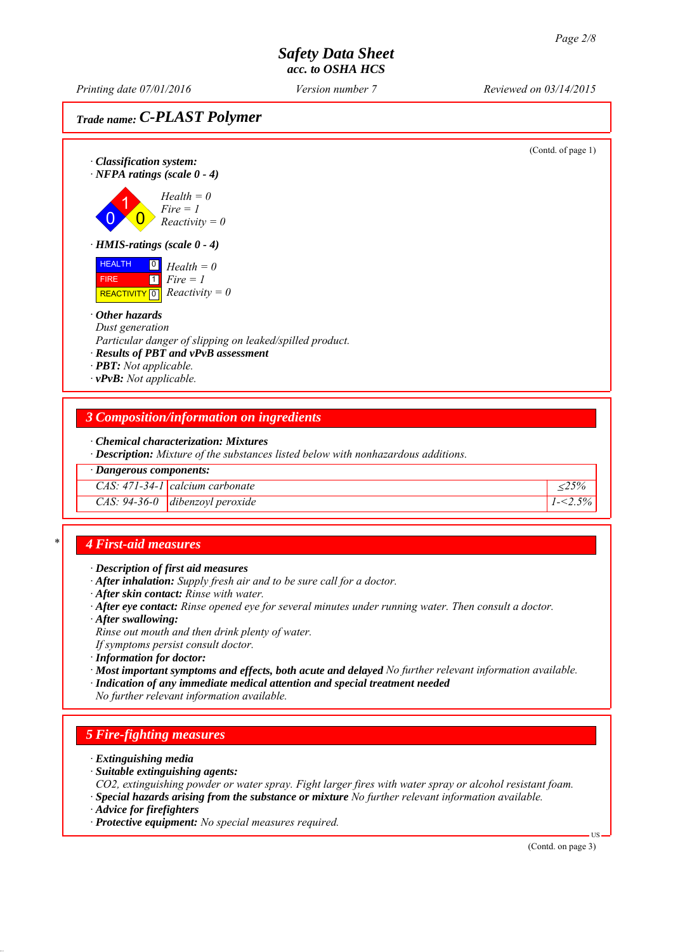*Printing date 07/01/2016 Reviewed on 03/14/2015 Version number 7*

# *Trade name: C-PLAST Polymer*



## *\* 4 First-aid measures*

- *∙ Description of first aid measures*
- *∙ After inhalation: Supply fresh air and to be sure call for a doctor.*
- *∙ After skin contact: Rinse with water.*
- *∙ After eye contact: Rinse opened eye for several minutes under running water. Then consult a doctor.*
- *∙ After swallowing:*

*Rinse out mouth and then drink plenty of water.*

*If symptoms persist consult doctor.*

- *∙ Information for doctor:*
- *∙ Most important symptoms and effects, both acute and delayed No further relevant information available.*
- *∙ Indication of any immediate medical attention and special treatment needed*

*No further relevant information available.*

### *5 Fire-fighting measures*

- *∙ Extinguishing media*
- *∙ Suitable extinguishing agents:*
- *CO2, extinguishing powder or water spray. Fight larger fires with water spray or alcohol resistant foam.*
- *∙ Special hazards arising from the substance or mixture No further relevant information available.*
- *∙ Advice for firefighters*
- *∙ Protective equipment: No special measures required.*

(Contd. on page 3)

US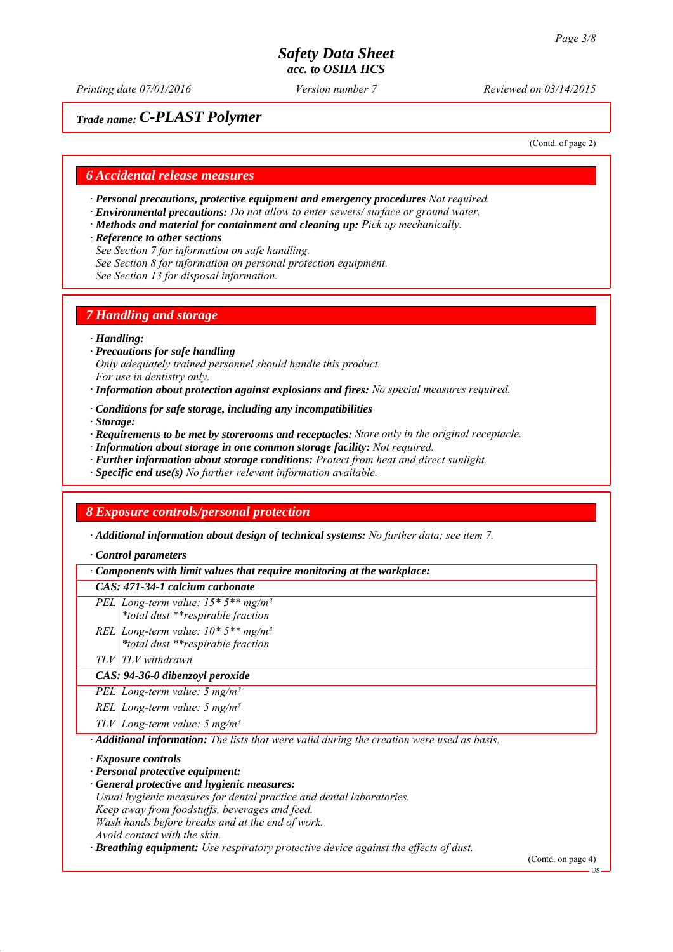*Printing date 07/01/2016 Reviewed on 03/14/2015 Version number 7*

## *Trade name: C-PLAST Polymer*

(Contd. of page 2)

#### *6 Accidental release measures*

- *∙ Personal precautions, protective equipment and emergency procedures Not required.*
- *∙ Environmental precautions: Do not allow to enter sewers/ surface or ground water.*
- *∙ Methods and material for containment and cleaning up: Pick up mechanically.*
- *∙ Reference to other sections*
- *See Section 7 for information on safe handling.*
- *See Section 8 for information on personal protection equipment.*
- *See Section 13 for disposal information.*

### *7 Handling and storage*

#### *∙ Handling:*

- *∙ Precautions for safe handling Only adequately trained personnel should handle this product. For use in dentistry only.*
- *∙ Information about protection against explosions and fires: No special measures required.*
- *∙ Conditions for safe storage, including any incompatibilities*
- *∙ Storage:*
- *∙ Requirements to be met by storerooms and receptacles: Store only in the original receptacle.*
- *∙ Information about storage in one common storage facility: Not required.*
- *∙ Further information about storage conditions: Protect from heat and direct sunlight.*
- *∙ Specific end use(s) No further relevant information available.*

### *8 Exposure controls/personal protection*

*∙ Additional information about design of technical systems: No further data; see item 7.*

*∙ Control parameters*

*∙ Components with limit values that require monitoring at the workplace:*

#### *CAS: 471-34-1 calcium carbonate*

*PEL Long-term value: 15\* 5\*\* mg/m³*

*\*total dust \*\*respirable fraction*

- *REL Long-term value: 10\* 5\*\* mg/m³ \*total dust \*\*respirable fraction*
- *TLV TLV withdrawn*

#### *CAS: 94-36-0 dibenzoyl peroxide*

*PEL Long-term value: 5 mg/m³*

*REL Long-term value: 5 mg/m³*

*TLV Long-term value: 5 mg/m³*

*∙ Additional information: The lists that were valid during the creation were used as basis.*

*∙ Exposure controls*

*∙ Personal protective equipment:*

- *∙ General protective and hygienic measures:*
- *Usual hygienic measures for dental practice and dental laboratories.*
- *Keep away from foodstuffs, beverages and feed.*
- *Wash hands before breaks and at the end of work.*
- *Avoid contact with the skin.*

*∙ Breathing equipment: Use respiratory protective device against the effects of dust.*

(Contd. on page 4)

US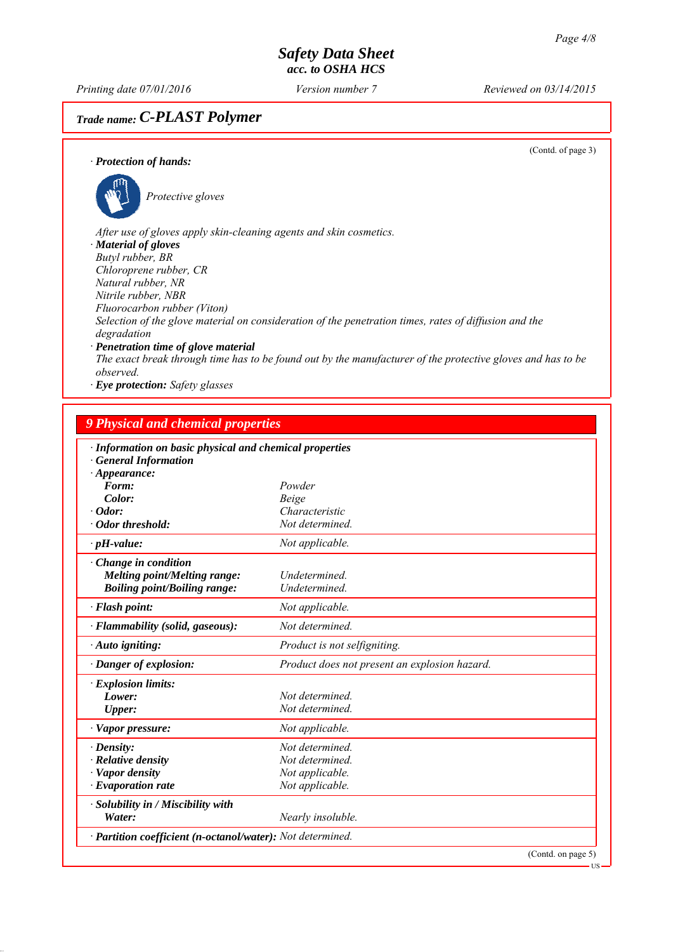*Printing date 07/01/2016 Reviewed on 03/14/2015 Version number 7*

# *Trade name: C-PLAST Polymer*

(Contd. of page 3)

#### *∙ Protection of hands:*



*observed.*

*Protective gloves*

*After use of gloves apply skin-cleaning agents and skin cosmetics. ∙ Material of gloves Butyl rubber, BR Chloroprene rubber, CR Natural rubber, NR Nitrile rubber, NBR Fluorocarbon rubber (Viton) Selection of the glove material on consideration of the penetration times, rates of diffusion and the degradation ∙ Penetration time of glove material The exact break through time has to be found out by the manufacturer of the protective gloves and has to be*

*∙ Eye protection: Safety glasses*

| · Information on basic physical and chemical properties    |                                               |                    |
|------------------------------------------------------------|-----------------------------------------------|--------------------|
| <b>General Information</b>                                 |                                               |                    |
| $\cdot$ Appearance:                                        |                                               |                    |
| Form:                                                      | Powder                                        |                    |
| Color:                                                     | Beige                                         |                    |
| $\cdot$ Odor:                                              | Characteristic                                |                    |
| · Odor threshold:                                          | Not determined.                               |                    |
| $\cdot$ pH-value:                                          | Not applicable.                               |                    |
| $\cdot$ Change in condition                                |                                               |                    |
| <b>Melting point/Melting range:</b>                        | Undetermined.                                 |                    |
| <b>Boiling point/Boiling range:</b>                        | Undetermined.                                 |                    |
| $\cdot$ Flash point:                                       | Not applicable.                               |                    |
| · Flammability (solid, gaseous):                           | Not determined.                               |                    |
| · Auto igniting:                                           | Product is not selfigniting.                  |                    |
| · Danger of explosion:                                     | Product does not present an explosion hazard. |                    |
| · Explosion limits:                                        |                                               |                    |
| Lower:                                                     | Not determined.                               |                    |
| Upper:                                                     | Not determined.                               |                    |
| · Vapor pressure:                                          | Not applicable.                               |                    |
| $\cdot$ Density:                                           | Not determined.                               |                    |
| $\cdot$ Relative density                                   | Not determined.                               |                    |
| · Vapor density                                            | Not applicable.                               |                    |
| $\cdot$ Evaporation rate                                   | Not applicable.                               |                    |
| · Solubility in / Miscibility with                         |                                               |                    |
| Water:                                                     | Nearly insoluble.                             |                    |
| · Partition coefficient (n-octanol/water): Not determined. |                                               |                    |
|                                                            |                                               | (Contd. on page 5) |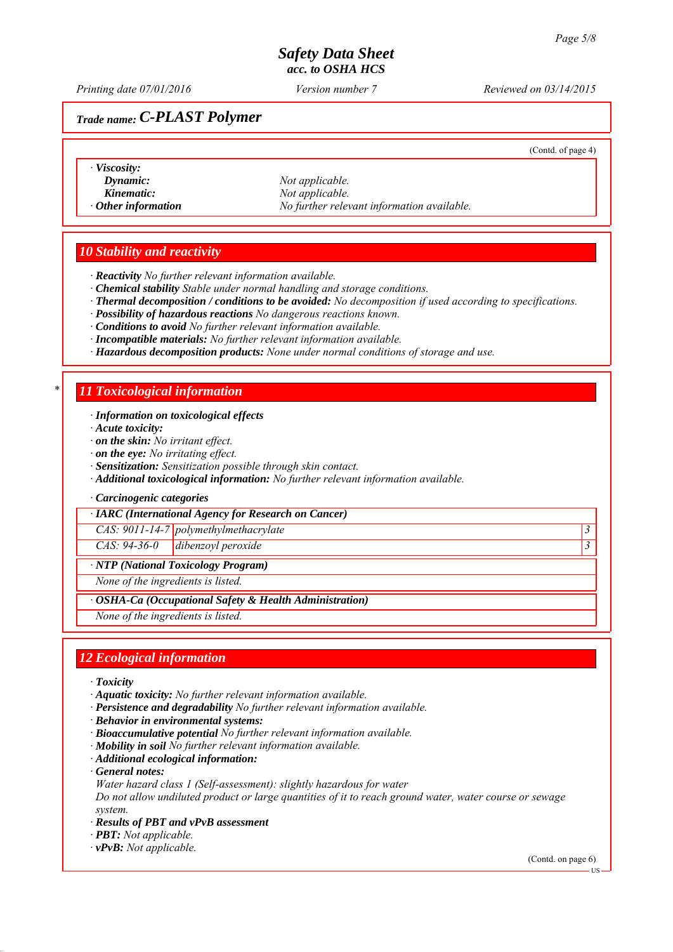*Printing date 07/01/2016 Reviewed on 03/14/2015 Version number 7*

## *Trade name: C-PLAST Polymer*

(Contd. of page 4)

- *∙ Viscosity:*
- 
- 

*Dynamic: Not applicable. Kinematic: Not applicable. ∙ Other information No further relevant information available.*

### *10 Stability and reactivity*

- *∙ Reactivity No further relevant information available.*
- *∙ Chemical stability Stable under normal handling and storage conditions.*
- *∙ Thermal decomposition / conditions to be avoided: No decomposition if used according to specifications.*
- *∙ Possibility of hazardous reactions No dangerous reactions known.*
- *∙ Conditions to avoid No further relevant information available.*
- *∙ Incompatible materials: No further relevant information available.*
- *∙ Hazardous decomposition products: None under normal conditions of storage and use.*

### *\* 11 Toxicological information*

#### *∙ Information on toxicological effects*

- *∙ Acute toxicity:*
- *∙ on the skin: No irritant effect.*
- *∙ on the eye: No irritating effect.*
- *∙ Sensitization: Sensitization possible through skin contact.*
- *∙ Additional toxicological information: No further relevant information available.*
- *∙ Carcinogenic categories*

*∙ IARC (International Agency for Research on Cancer)*

*CAS: 9011-14-7 polymethylmethacrylate 3 CAS: 94-36-0 dibenzoyl peroxide 3* 

## *∙ NTP (National Toxicology Program)*

*None of the ingredients is listed.*

*∙ OSHA-Ca (Occupational Safety & Health Administration)*

*None of the ingredients is listed.*

### *12 Ecological information*

- *∙ Toxicity*
- *∙ Aquatic toxicity: No further relevant information available.*
- *∙ Persistence and degradability No further relevant information available.*
- *∙ Behavior in environmental systems:*
- *∙ Bioaccumulative potential No further relevant information available.*
- *∙ Mobility in soil No further relevant information available.*
- *∙ Additional ecological information:*
- *∙ General notes:*
- *Water hazard class 1 (Self-assessment): slightly hazardous for water*

*Do not allow undiluted product or large quantities of it to reach ground water, water course or sewage system.*

- *∙ Results of PBT and vPvB assessment*
- *∙ PBT: Not applicable.*
- *∙ vPvB: Not applicable.*

(Contd. on page 6)

US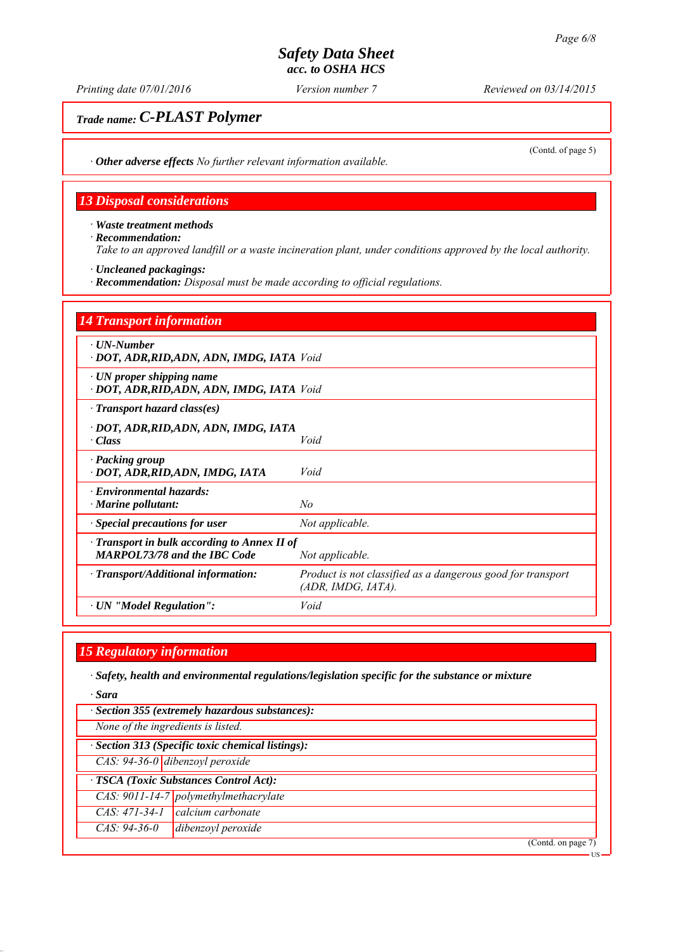*Printing date 07/01/2016 Reviewed on 03/14/2015 Version number 7*

## *Trade name: C-PLAST Polymer*

(Contd. of page 5)

*∙ Other adverse effects No further relevant information available.*

### *13 Disposal considerations*

*∙ Waste treatment methods ∙ Recommendation: Take to an approved landfill or a waste incineration plant, under conditions approved by the local authority.*

- *∙ Uncleaned packagings:*
- *∙ Recommendation: Disposal must be made according to official regulations.*

| <b>14 Transport information</b>                                                           |                                                                                   |
|-------------------------------------------------------------------------------------------|-----------------------------------------------------------------------------------|
| $\cdot$ UN-Number<br>· DOT, ADR, RID, ADN, ADN, IMDG, IATA Void                           |                                                                                   |
| $\cdot$ UN proper shipping name<br>· DOT, ADR, RID, ADN, ADN, IMDG, IATA Void             |                                                                                   |
| $\cdot$ Transport hazard class(es)                                                        |                                                                                   |
| · DOT, ADR,RID,ADN, ADN, IMDG, IATA<br>$\cdot Class$                                      | Void                                                                              |
| · Packing group<br>· DOT, ADR, RID, ADN, IMDG, IATA                                       | Void                                                                              |
| · Environmental hazards:<br>$\cdot$ Marine pollutant:                                     | No                                                                                |
| · Special precautions for user                                                            | Not applicable.                                                                   |
| $\cdot$ Transport in bulk according to Annex II of<br><b>MARPOL73/78 and the IBC Code</b> | Not applicable.                                                                   |
| · Transport/Additional information:                                                       | Product is not classified as a dangerous good for transport<br>(ADR, IMDG, IATA). |
| · UN "Model Regulation":                                                                  | Void                                                                              |

## *15 Regulatory information*

*∙ Safety, health and environmental regulations/legislation specific for the substance or mixture*

*∙ Sara*

*∙ Section 355 (extremely hazardous substances):*

*None of the ingredients is listed.*

*∙ Section 313 (Specific toxic chemical listings):*

*CAS: 94-36-0 dibenzoyl peroxide*

*∙ TSCA (Toxic Substances Control Act):*

*CAS: 9011-14-7 polymethylmethacrylate*

- *CAS: 471-34-1 calcium carbonate*
- *CAS: 94-36-0 dibenzoyl peroxide*

(Contd. on page 7)

US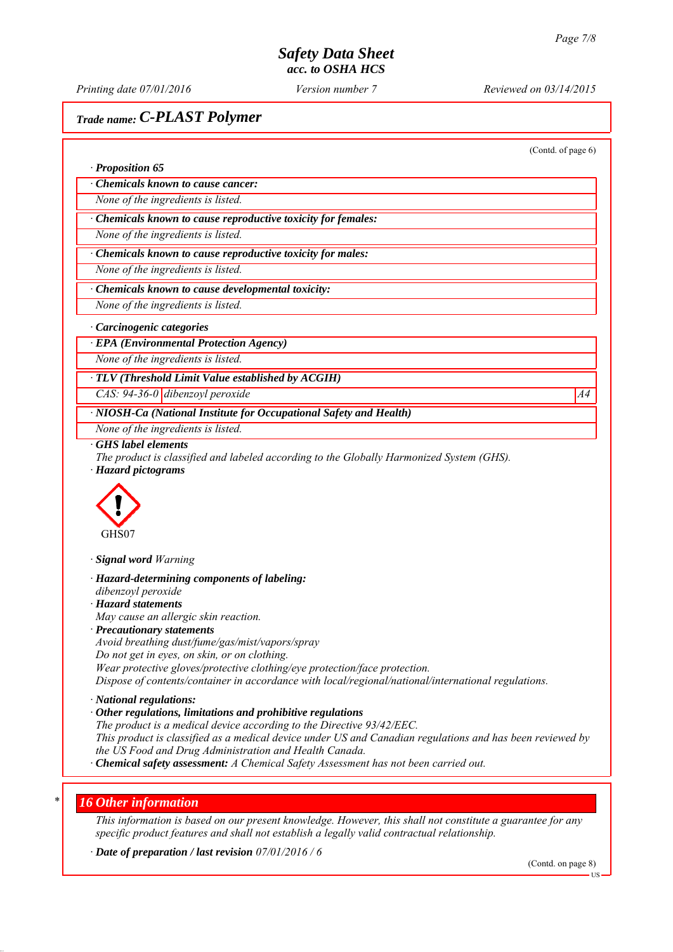*Printing date 07/01/2016 Reviewed on 03/14/2015 Version number 7*

*∙ Proposition 65*

# *Trade name: C-PLAST Polymer*

(Contd. of page 6)

*∙ Chemicals known to cause cancer:*

*None of the ingredients is listed.*

*∙ Chemicals known to cause reproductive toxicity for females:*

*None of the ingredients is listed.*

*∙ Chemicals known to cause reproductive toxicity for males:*

*None of the ingredients is listed.*

*∙ Chemicals known to cause developmental toxicity:*

*None of the ingredients is listed.*

#### *∙ Carcinogenic categories*

*∙ EPA (Environmental Protection Agency)*

*None of the ingredients is listed.*

*∙ TLV (Threshold Limit Value established by ACGIH)*

*CAS:* 94-36-0 dibenzoyl peroxide A4<sup>4</sup>

*∙ NIOSH-Ca (National Institute for Occupational Safety and Health)*

*None of the ingredients is listed.*

*∙ GHS label elements*

*The product is classified and labeled according to the Globally Harmonized System (GHS). ∙ Hazard pictograms*



*∙ Signal word Warning*

*∙ Hazard-determining components of labeling:*

- *dibenzoyl peroxide*
- *∙ Hazard statements*
- *May cause an allergic skin reaction.*
- *∙ Precautionary statements*

*Avoid breathing dust/fume/gas/mist/vapors/spray*

*Do not get in eyes, on skin, or on clothing.*

*Wear protective gloves/protective clothing/eye protection/face protection.*

*Dispose of contents/container in accordance with local/regional/national/international regulations.*

*∙ National regulations:*

*∙ Other regulations, limitations and prohibitive regulations*

*The product is a medical device according to the Directive 93/42/EEC.*

*This product is classified as a medical device under US and Canadian regulations and has been reviewed by the US Food and Drug Administration and Health Canada.*

*∙ Chemical safety assessment: A Chemical Safety Assessment has not been carried out.*

#### *\* 16 Other information*

*This information is based on our present knowledge. However, this shall not constitute a guarantee for any specific product features and shall not establish a legally valid contractual relationship.*

*∙ Date of preparation / last revision 07/01/2016 / 6*

(Contd. on page 8)